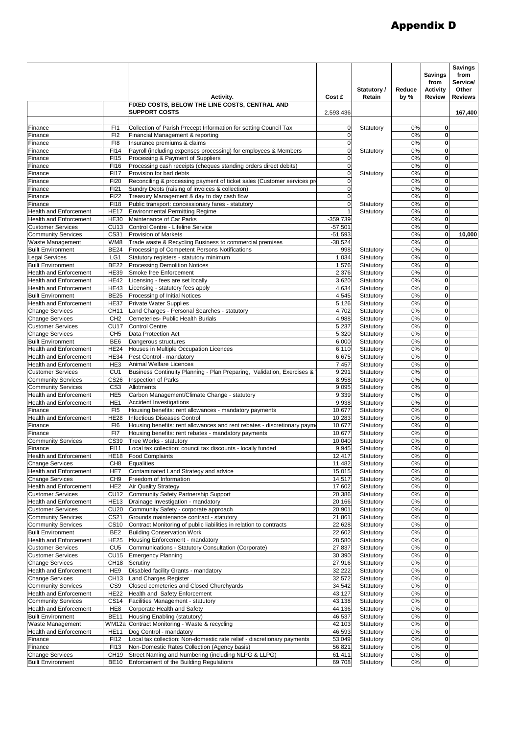## Appendix D

|                                                           |                                    | Activity.                                                                                                      | Cost £                     | Statutory /<br>Retain  | Reduce<br>by $%$ | <b>Savings</b><br>from<br><b>Activity</b><br><b>Review</b> | <b>Savings</b><br>from<br>Service/<br>Other<br><b>Reviews</b> |
|-----------------------------------------------------------|------------------------------------|----------------------------------------------------------------------------------------------------------------|----------------------------|------------------------|------------------|------------------------------------------------------------|---------------------------------------------------------------|
|                                                           |                                    | FIXED COSTS, BELOW THE LINE COSTS, CENTRAL AND<br><b>SUPPORT COSTS</b>                                         | 2,593,436                  |                        |                  |                                                            | 167,400                                                       |
| Finance                                                   | F <sub>1</sub>                     | Collection of Parish Precept Information for setting Council Tax                                               | $\mathbf 0$                | Statutory              | 0%               | $\mathbf 0$                                                |                                                               |
| Finance                                                   | F <sub>12</sub>                    | Financial Management & reporting                                                                               | $\mathbf 0$                |                        | 0%               | $\mathbf 0$                                                |                                                               |
| Finance                                                   | F <sub>18</sub>                    | Insurance premiums & claims                                                                                    | $\mathbf 0$                |                        | 0%               | $\mathbf 0$                                                |                                                               |
| Finance                                                   | FI14                               | Payroll (including expenses processing) for employees & Members                                                | $\mathbf 0$                | Statutory              | 0%               | 0                                                          |                                                               |
| Finance<br>Finance                                        | FI15<br>F116                       | Processing & Payment of Suppliers<br>Processing cash receipts (cheques standing orders direct debits)          | $\mathbf 0$<br>$\mathbf 0$ |                        | 0%<br>0%         | $\mathbf 0$<br>0                                           |                                                               |
| Finance                                                   | <b>FI17</b>                        | Provision for bad debts                                                                                        | $\mathbf 0$                | Statutory              | 0%               | $\mathbf 0$                                                |                                                               |
| Finance                                                   | <b>FI20</b>                        | Reconciling & processing payment of ticket sales (Customer services pro                                        | 0                          |                        | 0%               | $\mathbf 0$                                                |                                                               |
| Finance                                                   | FI21                               | Sundry Debts (raising of invoices & collection)                                                                | $\mathbf 0$                |                        | 0%               | $\mathbf 0$                                                |                                                               |
| Finance                                                   | <b>FI22</b>                        | Treasury Management & day to day cash flow                                                                     | $\mathbf 0$                |                        | 0%               | $\mathbf 0$                                                |                                                               |
| Finance<br><b>Health and Enforcement</b>                  | FI18<br><b>HE17</b>                | Public transport: concessionary fares - statutory<br><b>Environmental Permitting Regime</b>                    | $\mathbf 0$                | Statutory<br>Statutory | 0%<br>0%         | $\mathbf 0$<br>$\mathbf 0$                                 |                                                               |
| <b>Health and Enforcement</b>                             | <b>HE30</b>                        | Maintenance of Car Parks                                                                                       | $-359,739$                 |                        | 0%               | 0                                                          |                                                               |
| <b>Customer Services</b>                                  | <b>CU13</b>                        | Control Centre - Lifeline Service                                                                              | $-57,501$                  |                        | 0%               | $\mathbf 0$                                                |                                                               |
| <b>Community Services</b>                                 | CS31                               | <b>Provision of Markets</b>                                                                                    | $-51,593$                  |                        | 0%               | 0                                                          | 10,000                                                        |
| <b>Waste Management</b>                                   | WM8                                | Trade waste & Recycling Business to commercial premises                                                        | $-38,524$                  |                        | 0%               | $\mathbf 0$                                                |                                                               |
| <b>Built Environment</b>                                  | <b>BE24</b>                        | Processing of Competent Persons Notifications                                                                  | 998                        | Statutory              | 0%               | 0                                                          |                                                               |
| <b>Legal Services</b>                                     | LG1<br><b>BE22</b>                 | Statutory registers - statutory minimum<br><b>Processing Demolition Notices</b>                                | 1,034                      | Statutory              | 0%<br>0%         | $\mathbf 0$<br>0                                           |                                                               |
| <b>Built Environment</b><br><b>Health and Enforcement</b> | <b>HE39</b>                        | Smoke free Enforcement                                                                                         | 1,576<br>2,376             | Statutory<br>Statutory | 0%               | $\mathbf 0$                                                |                                                               |
| <b>Health and Enforcement</b>                             | <b>HE42</b>                        | Licensing - fees are set locally                                                                               | 3,620                      | Statutory              | 0%               | $\mathbf 0$                                                |                                                               |
| <b>Health and Enforcement</b>                             | <b>HE43</b>                        | Licensing - statutory fees apply                                                                               | 4,634                      | Statutory              | 0%               | $\mathbf 0$                                                |                                                               |
| <b>Built Environment</b>                                  | <b>BE25</b>                        | Processing of Initial Notices                                                                                  | 4,545                      | Statutory              | 0%               | $\mathbf 0$                                                |                                                               |
| <b>Health and Enforcement</b>                             | <b>HE37</b>                        | <b>Private Water Supplies</b>                                                                                  | 5,126                      | Statutory              | 0%               | $\mathbf 0$                                                |                                                               |
| <b>Change Services</b>                                    | CH11<br>CH <sub>2</sub>            | Land Charges - Personal Searches - statutory<br>Cemeteries- Public Health Burials                              | 4,702                      | Statutory              | 0%<br>0%         | $\mathbf 0$<br>$\mathbf 0$                                 |                                                               |
| <b>Change Services</b><br><b>Customer Services</b>        | <b>CU17</b>                        | <b>Control Centre</b>                                                                                          | 4,988<br>5,237             | Statutory<br>Statutory | 0%               | $\mathbf 0$                                                |                                                               |
| <b>Change Services</b>                                    | CH <sub>5</sub>                    | Data Protection Act                                                                                            | 5,320                      | Statutory              | 0%               | $\mathbf 0$                                                |                                                               |
| <b>Built Environment</b>                                  | BE <sub>6</sub>                    | Dangerous structures                                                                                           | 6,000                      | Statutory              | 0%               | $\mathbf 0$                                                |                                                               |
| Health and Enforcement                                    | <b>HE24</b>                        | Houses in Multiple Occupation Licences                                                                         | 6,110                      | Statutory              | 0%               | 0                                                          |                                                               |
| <b>Health and Enforcement</b>                             | <b>HE34</b>                        | Pest Control - mandatory                                                                                       | 6,675                      | Statutory              | 0%               | $\mathbf 0$                                                |                                                               |
| <b>Health and Enforcement</b><br><b>Customer Services</b> | HE <sub>3</sub><br>CU <sub>1</sub> | Animal Welfare Licences<br>Business Continuity Planning - Plan Preparing, Validation, Exercises &              | 7,457<br>9,291             | Statutory<br>Statutory | 0%<br>0%         | $\mathbf 0$<br>$\mathbf 0$                                 |                                                               |
| Community Services                                        | CS26                               | <b>Inspection of Parks</b>                                                                                     | 8,958                      | Statutory              | 0%               | $\mathbf 0$                                                |                                                               |
| <b>Community Services</b>                                 | CS <sub>3</sub>                    | Allotments                                                                                                     | 9,095                      | Statutory              | 0%               | $\mathbf 0$                                                |                                                               |
| <b>Health and Enforcement</b>                             | HE <sub>5</sub>                    | Carbon Management/Climate Change - statutory                                                                   | 9,339                      | Statutory              | 0%               | $\mathbf 0$                                                |                                                               |
| <b>Health and Enforcement</b>                             | HE <sub>1</sub>                    | <b>Accident Investigations</b>                                                                                 | 9,938                      | Statutory              | 0%               | 0                                                          |                                                               |
| Finance                                                   | FI <sub>5</sub>                    | Housing benefits: rent allowances - mandatory payments                                                         | 10,677                     | Statutory              | 0%               | $\mathbf 0$                                                |                                                               |
| <b>Health and Enforcement</b><br>Finance                  | <b>HE28</b><br>FI <sub>6</sub>     | <b>Infectious Diseases Control</b><br>Housing benefits: rent allowances and rent rebates - discretionary payme | 10,283<br>10,677           | Statutory<br>Statutory | 0%<br>0%         | 0<br>$\mathbf 0$                                           |                                                               |
| Finance                                                   | FI7                                | Housing benefits: rent rebates - mandatory payments                                                            | 10,677                     | Statutory              | 0%               | 0                                                          |                                                               |
| <b>Community Services</b>                                 | CS39                               | Tree Works - statutory                                                                                         | 10,040                     | Statutory              | 0%               | 0                                                          |                                                               |
| Finance                                                   | F111                               | Local tax collection: council tax discounts - locally funded                                                   | 9,945                      | Statutory              | 0%               | 0                                                          |                                                               |
| <b>Health and Enforcement</b>                             | <b>HE18</b>                        | <b>Food Complaints</b>                                                                                         | 12,417                     | Statutory              | 0%               | $\mathbf{0}$                                               |                                                               |
| <b>Change Services</b>                                    | CH <sub>8</sub>                    | <b>Equalities</b><br>Contaminated Land Strategy and advice                                                     | 11,482                     | Statutory              | 0%               | 0<br>$\mathbf 0$                                           |                                                               |
| <b>Health and Enforcement</b><br><b>Change Services</b>   | HE7<br>CH <sub>9</sub>             | Freedom of Information                                                                                         | 15,015<br>14,517           | Statutory<br>Statutory | 0%<br>0%         | 0                                                          |                                                               |
| <b>Health and Enforcement</b>                             | HE <sub>2</sub>                    | <b>Air Quality Strategy</b>                                                                                    | 17,602                     | Statutory              | 0%               | 0                                                          |                                                               |
| <b>Customer Services</b>                                  | <b>CU12</b>                        | Community Safety Partnership Support                                                                           | 20.386                     | Statutory              | 0%               | $\mathbf 0$                                                |                                                               |
| <b>Health and Enforcement</b>                             | <b>HE13</b>                        | Drainage Investigation - mandatory                                                                             | 20,166                     | Statutory              | 0%               | 0                                                          |                                                               |
| <b>Customer Services</b>                                  | <b>CU20</b>                        | Community Safety - corporate approach                                                                          | 20,901                     | Statutory              | 0%               | 0                                                          |                                                               |
| <b>Community Services</b><br><b>Community Services</b>    | CS21                               | Grounds maintenance contract - statutory                                                                       | 21,861                     | Statutory              | 0%               | 0<br>0                                                     |                                                               |
| <b>Built Environment</b>                                  | <b>CS10</b><br>BE <sub>2</sub>     | Contract Monitoring of public liabilities in relation to contracts<br><b>Building Conservation Work</b>        | 22,628<br>22,602           | Statutory<br>Statutory | 0%<br>0%         | 0                                                          |                                                               |
| <b>Health and Enforcement</b>                             | <b>HE25</b>                        | Housing Enforcement - mandatory                                                                                | 28,580                     | Statutory              | 0%               | 0                                                          |                                                               |
| <b>Customer Services</b>                                  | CU <sub>5</sub>                    | Communications - Statutory Consultation (Corporate)                                                            | 27,837                     | Statutory              | 0%               | 0                                                          |                                                               |
| <b>Customer Services</b>                                  | <b>CU15</b>                        | <b>Emergency Planning</b>                                                                                      | 30,390                     | Statutory              | 0%               | 0                                                          |                                                               |
| <b>Change Services</b>                                    | CH18                               | Scrutiny                                                                                                       | 27,916                     | Statutory              | 0%               | 0                                                          |                                                               |
| <b>Health and Enforcement</b>                             | HE <sub>9</sub>                    | Disabled facility Grants - mandatory                                                                           | 32,222                     | Statutory              | 0%               | 0                                                          |                                                               |
| <b>Change Services</b><br><b>Community Services</b>       | CH <sub>13</sub><br>CS9            | <b>Land Charges Register</b><br>Closed cemeteries and Closed Churchyards                                       | 32,572<br>34,542           | Statutory<br>Statutory | 0%<br>0%         | 0<br>0                                                     |                                                               |
| <b>Health and Enforcement</b>                             | <b>HE22</b>                        | Health and Safety Enforcement                                                                                  | 43,127                     | Statutory              | 0%               | 0                                                          |                                                               |
| <b>Community Services</b>                                 | CS14                               | Facilities Management - statutory                                                                              | 43,138                     | Statutory              | 0%               | 0                                                          |                                                               |
| <b>Health and Enforcement</b>                             | HE <sub>8</sub>                    | Corporate Health and Safety                                                                                    | 44,136                     | Statutory              | 0%               | 0                                                          |                                                               |
| <b>Built Environment</b>                                  | <b>BE11</b>                        | Housing Enabling (statutory)                                                                                   | 46,537                     | Statutory              | 0%               | 0                                                          |                                                               |
| Waste Management                                          |                                    | WM12a Contract Monitoring - Waste & recycling                                                                  | 42,103                     | Statutory              | 0%               | 0                                                          |                                                               |
| <b>Health and Enforcement</b><br>Finance                  | <b>HE11</b><br>FI12                | Dog Control - mandatory<br>Local tax collection: Non-domestic rate relief - discretionary payments             | 46,593<br>53,049           | Statutory<br>Statutory | 0%<br>0%         | 0<br>0                                                     |                                                               |
| Finance                                                   | FI13                               | Non-Domestic Rates Collection (Agency basis)                                                                   | 56,821                     | Statutory              | 0%               | 0                                                          |                                                               |
| <b>Change Services</b>                                    | CH19                               | Street Naming and Numbering (including NLPG & LLPG)                                                            | 61,411                     | Statutory              | 0%               | 0                                                          |                                                               |
| <b>Built Environment</b>                                  | <b>BE10</b>                        | Enforcement of the Building Regulations                                                                        | 69,708                     | Statutory              | 0%               | 0                                                          |                                                               |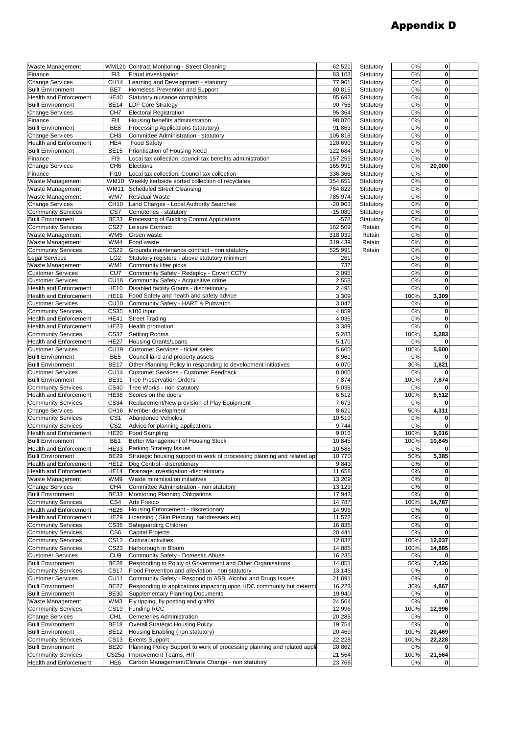## Appendix D

| Waste Management              |                 | WM12b Contract Monitoring - Street Cleaning                                   | 62,521    | Statutory | 0%   | 0      |
|-------------------------------|-----------------|-------------------------------------------------------------------------------|-----------|-----------|------|--------|
| Finance                       | F <sub>13</sub> | Fraud investigation                                                           | 83,103    | Statutory | 0%   | 0      |
| <b>Change Services</b>        | <b>CH14</b>     | Learning and Development - statutory                                          | 77,901    | Statutory | 0%   | 0      |
| <b>Built Environment</b>      | BE7             | Homeless Prevention and Support                                               | 80,815    | Statutory | 0%   | 0      |
| <b>Health and Enforcement</b> |                 |                                                                               |           |           |      |        |
|                               | <b>HE40</b>     | Statutory nuisance complaints                                                 | 85,692    | Statutory | 0%   | 0      |
| <b>Built Environment</b>      | <b>BE14</b>     | <b>LDF Core Strategy</b>                                                      | 90,756    | Statutory | 0%   | 0      |
| <b>Change Services</b>        | CH <sub>7</sub> | <b>Electoral Registration</b>                                                 | 95,364    | Statutory | 0%   | 0      |
| Finance                       | FI4             | Housing benefits administration                                               | 98,070    | Statutory | 0%   | 0      |
| <b>Built Environment</b>      | BE <sub>8</sub> | Processing Applications (statutory)                                           | 91,863    | Statutory | 0%   | 0      |
| <b>Change Services</b>        | CH <sub>3</sub> | Committee Administration - statutory                                          | 105,818   | Statutory | 0%   | 0      |
|                               |                 |                                                                               |           |           |      |        |
| <b>Health and Enforcement</b> | HE4             | <b>Food Safety</b>                                                            | 120,690   | Statutory | 0%   | 0      |
| <b>Built Environment</b>      | <b>BE15</b>     | Prioritisation of Housing Need                                                | 122,684   | Statutory | 0%   | 0      |
| Finance                       | FI9             | Local tax collection: council tax benefits administration                     | 157,259   | Statutory | 0%   | 0      |
| <b>Change Services</b>        | CH <sub>6</sub> | Elections                                                                     | 165,991   | Statutory | 0%   | 20,000 |
| Finance                       | F110            | Local tax collection: Council tax collection                                  | 336,366   | Statutory | 0%   | 0      |
| Waste Management              | <b>WM10</b>     | Weekly kerbside sorted collection of recyclates                               | 354,651   | Statutory | 0%   | 0      |
|                               |                 |                                                                               |           |           |      |        |
| Waste Management              | WM11            | <b>Scheduled Street Cleansing</b>                                             | 764,822   | Statutory | 0%   | 0      |
| Waste Management              | WM7             | <b>Residual Waste</b>                                                         | 785,974   | Statutory | 0%   | 0      |
| <b>Change Services</b>        | CH10            | Land Charges - Local Authority Searches                                       | $-20,903$ | Statutory | 0%   | 0      |
| <b>Community Services</b>     | CS7             | Cemeteries - statutory                                                        | $-15,080$ | Statutory | 0%   | 0      |
| <b>Built Environment</b>      | <b>BE23</b>     | Processing of Building Control Applications                                   | $-578$    | Statutory | 0%   | 0      |
|                               |                 |                                                                               |           |           |      |        |
| <b>Community Services</b>     | <b>CS27</b>     | Leisure Contract                                                              | 162,509   | Retain    | 0%   | 0      |
| Waste Management              | WM <sub>5</sub> | Green waste                                                                   | 318,039   | Retain    | 0%   | 0      |
| Waste Management              | WM4             | Food waste                                                                    | 319,439   | Retain    | 0%   | 0      |
| <b>Community Services</b>     | <b>CS22</b>     | Grounds maintenance contract - non statutory                                  | 525,991   | Retain    | 0%   | 0      |
| <b>Legal Services</b>         | LG <sub>2</sub> | Statutory registers - above statutory minimum                                 | 261       |           | 0%   | 0      |
|                               |                 |                                                                               |           |           |      |        |
| Waste Management              | WM1             | Community litter picks                                                        | 737       |           | 0%   | 0      |
| <b>Customer Services</b>      | CU <sub>7</sub> | Community Safety - Redeploy - Covert CCTV                                     | 2,095     |           | 0%   | 0      |
| <b>Customer Services</b>      | <b>CU18</b>     | Community Safety - Acquisitive crime                                          | 2,558     |           | 0%   | 0      |
| <b>Health and Enforcement</b> | <b>HE10</b>     | Disabled facility Grants - discretionary                                      | 2,491     |           | 0%   | 0      |
|                               |                 |                                                                               |           |           |      |        |
| <b>Health and Enforcement</b> | <b>HE19</b>     | Food Safety and health and safety advice                                      | 3,309     |           | 100% | 3,309  |
| <b>Customer Services</b>      | <b>CU10</b>     | Community Safety - HART & Pubwatch                                            | 3,047     |           | 0%   | 0      |
| <b>Community Services</b>     | CS35            | s106 input                                                                    | 4,859     |           | 0%   | 0      |
| <b>Health and Enforcement</b> | <b>HE41</b>     | <b>Street Trading</b>                                                         | 4,035     |           | 0%   | 0      |
| <b>Health and Enforcement</b> | <b>HE23</b>     | Health promotion                                                              | 3,389     |           | 0%   | 0      |
|                               |                 |                                                                               |           |           |      |        |
| <b>Community Services</b>     | <b>CS37</b>     | <b>Settling Rooms</b>                                                         | 5,283     |           | 100% | 5,283  |
| <b>Health and Enforcement</b> | <b>HE27</b>     | <b>Housing Grants/Loans</b>                                                   | 5,170     |           | 0%   | 0      |
| <b>Customer Services</b>      | <b>CU19</b>     | Customer Services - ticket sales                                              | 5,600     |           | 100% | 5,600  |
| <b>Built Environment</b>      | BE <sub>5</sub> | Council land and property assets                                              | 8,961     |           | 0%   | 0      |
| <b>Built Environment</b>      | <b>BE17</b>     |                                                                               | 6,070     |           | 30%  |        |
|                               |                 | Other Planning Policy in responding to development initiatives                |           |           |      | 1,821  |
| <b>Customer Services</b>      | <b>CU14</b>     | Customer Services - Customer Feedback                                         | 8,000     |           | 0%   | 0      |
| <b>Built Environment</b>      | <b>BE31</b>     | <b>Tree Preservation Orders</b>                                               | 7,874     |           | 100% | 7,874  |
| <b>Community Services</b>     | <b>CS40</b>     | Tree Works - non statutory                                                    | 5,038     |           | 0%   | 0      |
| <b>Health and Enforcement</b> | <b>HE38</b>     | Scores on the doors                                                           | 6,512     |           | 100% | 6,512  |
| <b>Community Services</b>     | CS34            | Replacement/New provision of Play Equipment                                   | 7,673     |           | 0%   | 0      |
|                               |                 |                                                                               |           |           |      |        |
| <b>Change Services</b>        | CH16            | Member development                                                            | 8,621     |           | 50%  | 4,311  |
| <b>Community Services</b>     | CS <sub>1</sub> | <b>Abandoned Vehicles</b>                                                     | 10,519    |           | 0%   | 0      |
| <b>Community Services</b>     | CS <sub>2</sub> | Advice for planning applications                                              | 9,744     |           | 0%   | 0      |
| <b>Health and Enforcement</b> | <b>HE20</b>     | <b>Food Sampling</b>                                                          | 9,016     |           | 100% | 9,016  |
| <b>Built Environment</b>      | BE <sub>1</sub> | Better Management of Housing Stock                                            | 10,845    |           | 100% | 10,845 |
|                               | HE33            |                                                                               | 10,588    |           | 0%   | 0      |
| <b>Health and Enforcement</b> |                 | <b>Parking Strategy Issues</b>                                                |           |           |      |        |
| <b>Built Environment</b>      |                 | BE29 Strategic housing support to work of processing planning and related app | 10,770    |           | 50%  | 5,385  |
| <b>Health and Enforcement</b> |                 | HE12 Dog Control - discretionary                                              | 9,843     |           | 0%   | 0      |
| <b>Health and Enforcement</b> |                 | HE14   Drainage Investigation - discretionary                                 | 11,658    |           | 0%   | 0      |
| Waste Management              | WM9             | Waste minimisation initiatives                                                | 13,209    |           | 0%   | 0      |
| <b>Change Services</b>        | CH4             | Committee Administration - non statutory                                      | 13,129    |           | 0%   | 0      |
|                               |                 |                                                                               |           |           |      |        |
| <b>Built Environment</b>      | <b>BE33</b>     | Monitoring Planning Obligations                                               | 17,943    |           | 0%   | 0      |
| <b>Community Services</b>     | CS4             | <b>Arts Fresco</b>                                                            | 14,787    |           | 100% | 14,787 |
| <b>Health and Enforcement</b> | HE26            | Housing Enforcement - discretionary                                           | 14,996    |           | 0%   | 0      |
| <b>Health and Enforcement</b> | <b>HE29</b>     | Licensing (Skin Piercing, hairdressers etc)                                   | 11,572    |           | 0%   | 0      |
| <b>Community Services</b>     |                 |                                                                               |           |           |      | 0      |
|                               |                 |                                                                               |           |           |      |        |
|                               | CS36            | Safeguarding Children                                                         | 16,835    |           | 0%   |        |
| <b>Community Services</b>     | CS <sub>6</sub> | <b>Capital Projects</b>                                                       | 20,441    |           | 0%   | 0      |
| <b>Community Services</b>     | CS12            | <b>Cultural activities</b>                                                    | 12,037    |           | 100% | 12,037 |
| <b>Community Services</b>     | CS23            | Harborough in Bloom                                                           | 14,885    |           | 100% | 14,885 |
|                               |                 |                                                                               |           |           | 0%   | 0      |
| <b>Customer Services</b>      | CU <sub>9</sub> | Community Safety - Domestic Abuse                                             | 16,235    |           |      |        |
| <b>Built Environment</b>      | <b>BE28</b>     | Responding to Policy of Government and Other Organisations                    | 14,851    |           | 50%  | 7,426  |
| <b>Community Services</b>     | <b>CS17</b>     | Flood Prevention and alleviation - non statutory                              | 13,145    |           | 0%   | 0      |
| <b>Customer Services</b>      | <b>CU11</b>     | Community Safety - Respond to ASB, Alcohol and Drugs Issues                   | 21,091    |           | 0%   | 0      |
| <b>Built Environment</b>      | <b>BE27</b>     | Responding to applications impacting upon HDC community but determi           | 16,223    |           | 30%  | 4,867  |
|                               |                 |                                                                               |           |           |      |        |
| <b>Built Environment</b>      | BE30            | Supplementary Planning Documents                                              | 19,940    |           | 0%   | 0      |
| Waste Management              | WM3             | Fly tipping, fly posting and graffiti                                         | 24,504    |           | 0%   | 0      |
| <b>Community Services</b>     | CS19            | <b>Funding RCC</b>                                                            | 12,996    |           | 100% | 12,996 |
| <b>Change Services</b>        | CH <sub>1</sub> | Cemeteries Administration                                                     | 20,286    |           | 0%   | 0      |
|                               | <b>BE18</b>     |                                                                               |           |           | 0%   | 0      |
| <b>Built Environment</b>      |                 | <b>Overall Strategic Housing Policy</b>                                       | 19,754    |           |      |        |
| <b>Built Environment</b>      | <b>BE12</b>     | Housing Enabling (non statutory)                                              | 20,469    |           | 100% | 20,469 |
| <b>Community Services</b>     | CS13            | <b>Events Support</b>                                                         | 22,228    |           | 100% | 22,228 |
| <b>Built Environment</b>      | <b>BE20</b>     | Planning Policy Support to work of processing planning and related appli      | 20,862    |           | 0%   | 0      |
| <b>Community Services</b>     | CS25a           | Improvement Teams, HIT                                                        | 21,564    |           | 100% | 21,564 |
| <b>Health and Enforcement</b> | HE <sub>6</sub> | Carbon Management/Climate Change - non statutory                              | 23,766    |           | 0%   | 0      |

| $\overline{0\%}$ | 0      |  |
|------------------|--------|--|
| 0%               | 0      |  |
|                  |        |  |
| 0%               | 0      |  |
| 0%               | 0      |  |
|                  |        |  |
| 0%               | 0      |  |
|                  | 0      |  |
| 0%               |        |  |
| 0%               | 0      |  |
|                  |        |  |
| 0%               | 0      |  |
| 0%               | 0      |  |
|                  |        |  |
| 0%               | 0      |  |
| 0%               | 0      |  |
|                  |        |  |
| 0%               | 0      |  |
| 0%               | 0      |  |
|                  |        |  |
| 0%               | 20,000 |  |
| 0%               | 0      |  |
|                  |        |  |
| 0%               | 0      |  |
| 0%               | 0      |  |
|                  |        |  |
| 0%               | 0      |  |
|                  | 0      |  |
| 0%               |        |  |
| 0%               | 0      |  |
|                  |        |  |
| 0%               | 0      |  |
| 0%               | 0      |  |
|                  |        |  |
| 0%               | 0      |  |
| 0%               | 0      |  |
|                  |        |  |
| 0%               | 0      |  |
| 0%               | 0      |  |
|                  |        |  |
| 0%               | 0      |  |
| 0%               | 0      |  |
|                  |        |  |
| 0%               | 0      |  |
|                  |        |  |
| 0%               | 0      |  |
| 100%             | 3,309  |  |
|                  |        |  |
| 0%               | 0      |  |
| 0%               | 0      |  |
|                  |        |  |
| 0%               | 0      |  |
| 0%               | 0      |  |
|                  |        |  |
| 100%             | 5,283  |  |
| 0%               | 0      |  |
|                  |        |  |
| 100%             | 5,600  |  |
| 0%               | 0      |  |
|                  |        |  |
| 30%              | 1,821  |  |
| 0%               | 0      |  |
|                  |        |  |
| 100%             | 7,874  |  |
|                  |        |  |
|                  |        |  |
| 0%               | 0      |  |
|                  |        |  |
| 100%             | 6,512  |  |
| 0%               | 0      |  |
| 50%              | 4,311  |  |
|                  |        |  |
| 0%               | 0      |  |
|                  |        |  |
| 0%               | 0      |  |
| 100%             | 9,016  |  |
|                  |        |  |
| 100%             | 10,845 |  |
| $0\%$            | 0      |  |
|                  |        |  |
| 50%              | 5,385  |  |
| 0%               | 0      |  |
|                  |        |  |
| 0%               | 0      |  |
| 0%               | 0      |  |
|                  |        |  |
| 0%               | 0      |  |
| 0%               | 0      |  |
|                  |        |  |
| 100%             | 14,787 |  |
| 0%               | 0      |  |
|                  |        |  |
| 0%               | 0      |  |
| 0%               | 0      |  |
|                  |        |  |
| 0%               | 0      |  |
| 100%             | 12,037 |  |
|                  |        |  |
| 100%             | 14,885 |  |
| 0%               | 0      |  |
|                  |        |  |
| 50%              | 7,426  |  |
| 0%               | 0      |  |
|                  |        |  |
| 0%               | 0      |  |
| 30%              | 4,867  |  |
|                  |        |  |
| 0%               | 0      |  |
| 0%               | 0      |  |
|                  |        |  |
| 100%             | 12,996 |  |
| 0%               | 0      |  |
|                  |        |  |
| 0%               | 0      |  |
|                  |        |  |
| 100%             | 20,469 |  |
| 100%             | 22,228 |  |
|                  | 0      |  |
| 0%               |        |  |
| 100%             | 21,564 |  |
| 0%               | 0      |  |